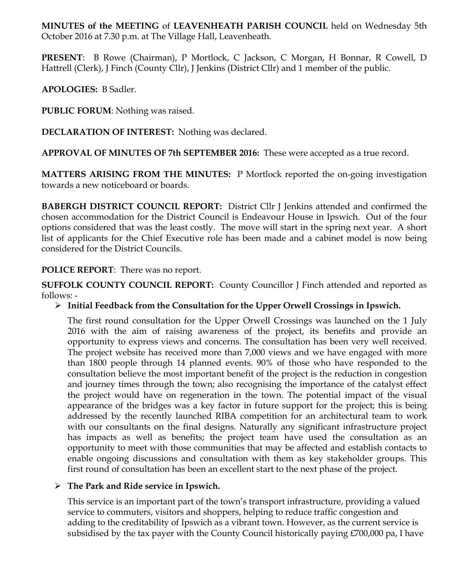**MINUTES of the MEETING** of **LEAVENHEATH PARISH COUNCIL** held on Wednesday 5th October 2016 at 7.30 p.m. at The Village Hall, Leavenheath.

**PRESENT**: B Rowe (Chairman), P Mortlock, C Jackson, C Morgan, H Bonnar, R Cowell, D Hattrell (Clerk), J Finch (County Cllr), J Jenkins (District Cllr) and 1 member of the public.

**APOLOGIES:** B Sadler.

**PUBLIC FORUM**: Nothing was raised.

**DECLARATION OF INTEREST:** Nothing was declared.

**APPROVAL OF MINUTES OF 7th SEPTEMBER 2016:** These were accepted as a true record.

**MATTERS ARISING FROM THE MINUTES:** P Mortlock reported the on-going investigation towards a new noticeboard or boards.

**BABERGH DISTRICT COUNCIL REPORT:** District Cllr J Jenkins attended and confirmed the chosen accommodation for the District Council is Endeavour House in Ipswich. Out of the four options considered that was the least costly. The move will start in the spring next year. A short list of applicants for the Chief Executive role has been made and a cabinet model is now being considered for the District Councils.

# **POLICE REPORT**: There was no report.

**SUFFOLK COUNTY COUNCIL REPORT:** County Councillor J Finch attended and reported as follows: -

# Ø **Initial Feedback from the Consultation for the Upper Orwell Crossings in Ipswich.**

The first round consultation for the Upper Orwell Crossings was launched on the 1 July 2016 with the aim of raising awareness of the project, its benefits and provide an opportunity to express views and concerns. The consultation has been very well received. The project website has received more than 7,000 views and we have engaged with more than 1800 people through 14 planned events. 90% of those who have responded to the consultation believe the most important benefit of the project is the reduction in congestion and journey times through the town; also recognising the importance of the catalyst effect the project would have on regeneration in the town. The potential impact of the visual appearance of the bridges was a key factor in future support for the project; this is being addressed by the recently launched RIBA competition for an architectural team to work with our consultants on the final designs. Naturally any significant infrastructure project has impacts as well as benefits; the project team have used the consultation as an opportunity to meet with those communities that may be affected and establish contacts to enable ongoing discussions and consultation with them as key stakeholder groups. This first round of consultation has been an excellent start to the next phase of the project.

## Ø **The Park and Ride service in Ipswich.**

This service is an important part of the town's transport infrastructure, providing a valued service to commuters, visitors and shoppers, helping to reduce traffic congestion and adding to the creditability of Ipswich as a vibrant town. However, as the current service is subsidised by the tax payer with the County Council historically paying £700,000 pa, I have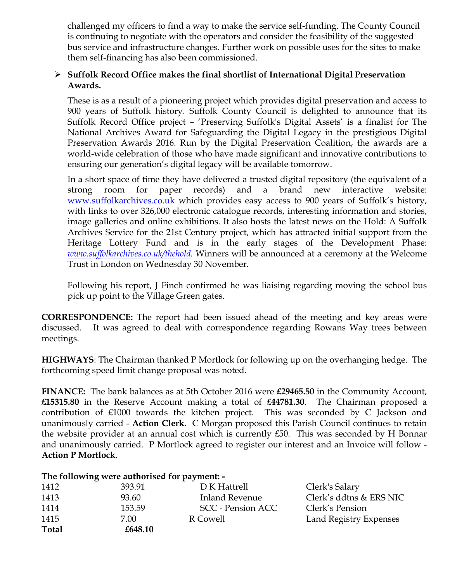challenged my officers to find a way to make the service self-funding. The County Council is continuing to negotiate with the operators and consider the feasibility of the suggested bus service and infrastructure changes. Further work on possible uses for the sites to make them self-financing has also been commissioned.

# Ø **Suffolk Record Office makes the final shortlist of International Digital Preservation Awards.**

These is as a result of a pioneering project which provides digital preservation and access to 900 years of Suffolk history. Suffolk County Council is delighted to announce that its Suffolk Record Office project – 'Preserving Suffolk's Digital Assets' is a finalist for The National Archives Award for Safeguarding the Digital Legacy in the prestigious Digital Preservation Awards 2016. Run by the Digital Preservation Coalition, the awards are a world-wide celebration of those who have made significant and innovative contributions to ensuring our generation's digital legacy will be available tomorrow.

In a short space of time they have delivered a trusted digital repository (the equivalent of a strong room for paper records) and a brand new interactive website: www.suffolkarchives.co.uk which provides easy access to 900 years of Suffolk's history, with links to over 326,000 electronic catalogue records, interesting information and stories, image galleries and online exhibitions. It also hosts the latest news on the Hold: A Suffolk Archives Service for the 21st Century project, which has attracted initial support from the Heritage Lottery Fund and is in the early stages of the Development Phase: *www.suffolkarchives.co.uk/thehold.* Winners will be announced at a ceremony at the Welcome Trust in London on Wednesday 30 November*.*

Following his report, J Finch confirmed he was liaising regarding moving the school bus pick up point to the Village Green gates.

**CORRESPONDENCE:** The report had been issued ahead of the meeting and key areas were discussed. It was agreed to deal with correspondence regarding Rowans Way trees between meetings.

**HIGHWAYS**: The Chairman thanked P Mortlock for following up on the overhanging hedge. The forthcoming speed limit change proposal was noted.

**FINANCE:** The bank balances as at 5th October 2016 were **£29465.50** in the Community Account, **£15315.80** in the Reserve Account making a total of **£44781.30**. The Chairman proposed a contribution of £1000 towards the kitchen project. This was seconded by C Jackson and unanimously carried - **Action Clerk**. C Morgan proposed this Parish Council continues to retain the website provider at an annual cost which is currently £50. This was seconded by H Bonnar and unanimously carried. P Mortlock agreed to register our interest and an Invoice will follow - **Action P Mortlock**.

## **The following were authorised for payment: -**

| 1412         | 393.91  | D K Hattrell      | Clerk's Salary          |
|--------------|---------|-------------------|-------------------------|
| 1413         | 93.60   | Inland Revenue    | Clerk's ddtns & ERS NIC |
| 1414         | 153.59  | SCC - Pension ACC | Clerk's Pension         |
| 1415         | 7.00    | R Cowell          | Land Registry Expenses  |
| <b>Total</b> | £648.10 |                   |                         |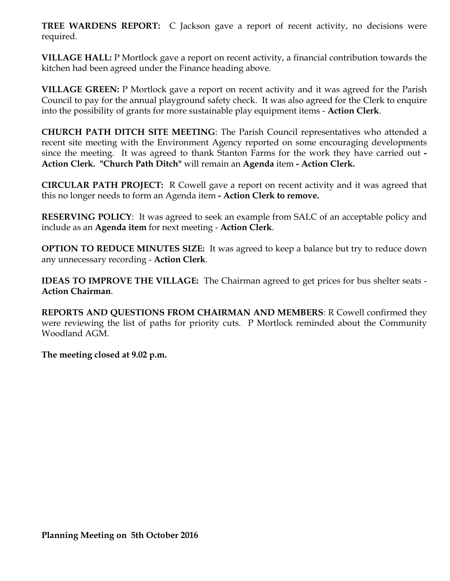**TREE WARDENS REPORT:** C Jackson gave a report of recent activity, no decisions were required.

**VILLAGE HALL:** P Mortlock gave a report on recent activity, a financial contribution towards the kitchen had been agreed under the Finance heading above.

**VILLAGE GREEN:** P Mortlock gave a report on recent activity and it was agreed for the Parish Council to pay for the annual playground safety check. It was also agreed for the Clerk to enquire into the possibility of grants for more sustainable play equipment items - **Action Clerk**.

**CHURCH PATH DITCH SITE MEETING**: The Parish Council representatives who attended a recent site meeting with the Environment Agency reported on some encouraging developments since the meeting. It was agreed to thank Stanton Farms for the work they have carried out **- Action Clerk. "Church Path Ditch"** will remain an **Agenda** item **- Action Clerk.**

**CIRCULAR PATH PROJECT:** R Cowell gave a report on recent activity and it was agreed that this no longer needs to form an Agenda item **- Action Clerk to remove.** 

**RESERVING POLICY**: It was agreed to seek an example from SALC of an acceptable policy and include as an **Agenda item** for next meeting - **Action Clerk**.

**OPTION TO REDUCE MINUTES SIZE:** It was agreed to keep a balance but try to reduce down any unnecessary recording - **Action Clerk**.

**IDEAS TO IMPROVE THE VILLAGE:** The Chairman agreed to get prices for bus shelter seats - **Action Chairman**.

**REPORTS AND QUESTIONS FROM CHAIRMAN AND MEMBERS**: R Cowell confirmed they were reviewing the list of paths for priority cuts. P Mortlock reminded about the Community Woodland AGM.

**The meeting closed at 9.02 p.m.**